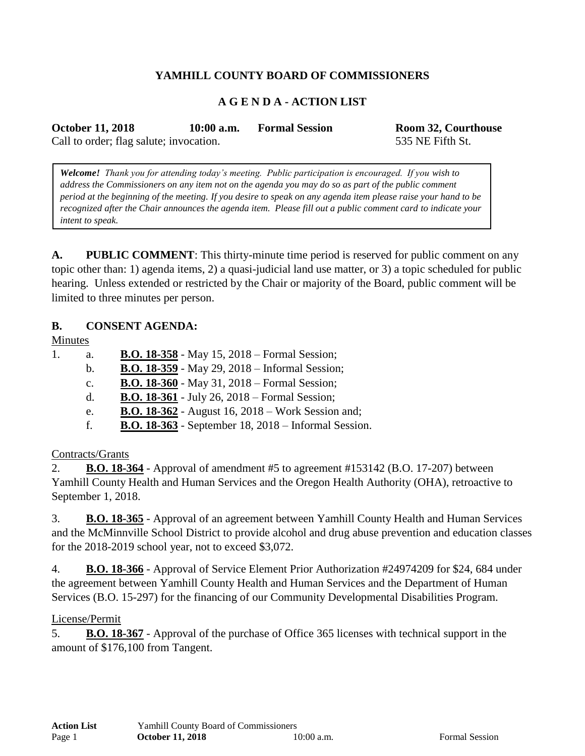# **YAMHILL COUNTY BOARD OF COMMISSIONERS**

### **A G E N D A - ACTION LIST**

**October 11, 2018 10:00 a.m. Formal Session Room 32, Courthouse**

Call to order; flag salute; invocation. 535 NE Fifth St.

*Welcome! Thank you for attending today's meeting. Public participation is encouraged. If you wish to address the Commissioners on any item not on the agenda you may do so as part of the public comment period at the beginning of the meeting. If you desire to speak on any agenda item please raise your hand to be recognized after the Chair announces the agenda item. Please fill out a public comment card to indicate your intent to speak.*

**A. PUBLIC COMMENT**: This thirty-minute time period is reserved for public comment on any topic other than: 1) agenda items, 2) a quasi-judicial land use matter, or 3) a topic scheduled for public hearing. Unless extended or restricted by the Chair or majority of the Board, public comment will be limited to three minutes per person.

#### **B. CONSENT AGENDA:**

Minutes

- 1. a. **B.O. 18-358** May 15, 2018 Formal Session;
	- b. **B.O. 18-359** May 29, 2018 Informal Session;
	- c. **B.O. 18-360** May 31, 2018 Formal Session;
	- d. **B.O. 18-361** July 26, 2018 Formal Session;
	- e. **B.O. 18-362** August 16, 2018 Work Session and;
	- f. **B.O. 18-363** September 18, 2018 Informal Session.

### Contracts/Grants

2. **B.O. 18-364** - Approval of amendment #5 to agreement #153142 (B.O. 17-207) between Yamhill County Health and Human Services and the Oregon Health Authority (OHA), retroactive to September 1, 2018.

3. **B.O. 18-365** - Approval of an agreement between Yamhill County Health and Human Services and the McMinnville School District to provide alcohol and drug abuse prevention and education classes for the 2018-2019 school year, not to exceed \$3,072.

4. **B.O. 18-366** - Approval of Service Element Prior Authorization #24974209 for \$24, 684 under the agreement between Yamhill County Health and Human Services and the Department of Human Services (B.O. 15-297) for the financing of our Community Developmental Disabilities Program.

#### License/Permit

5. **B.O. 18-367** - Approval of the purchase of Office 365 licenses with technical support in the amount of \$176,100 from Tangent.